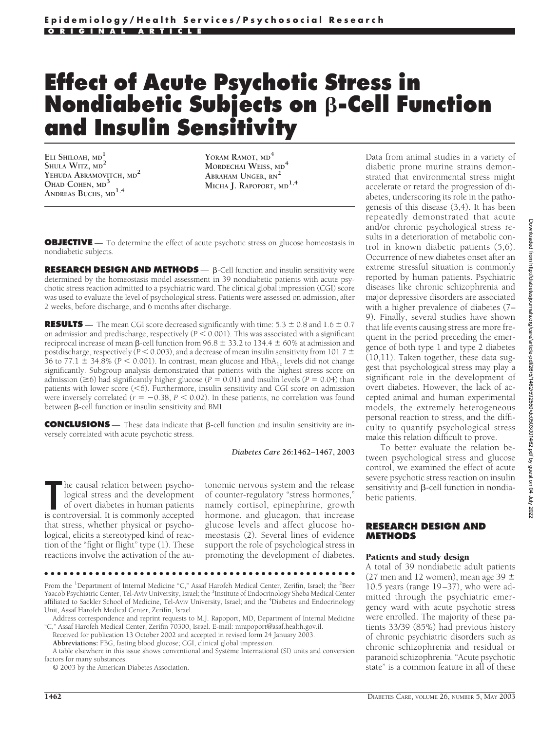# **Effect of Acute Psychotic Stress in Nondiabetic Subjects on**  $\beta$ **-Cell Function and Insulin Sensitivity**

**ELI SHILOAH, MD<sup>1</sup>** SHULA WITZ, MD<sup>2</sup> **YEHUDA ABRAMOVITCH, MD<sup>2</sup> OHAD COHEN, MD<sup>3</sup> ANDREAS BUCHS, MD1,4**

**YORAM RAMOT, MD<sup>4</sup> MORDECHAI WEISS, MD<sup>4</sup> ABRAHAM UNGER, RN<sup>2</sup> MICHA J. RAPOPORT, MD1,4**

**OBJECTIVE** — To determine the effect of acute psychotic stress on glucose homeostasis in nondiabetic subjects.

**RESEARCH DESIGN AND METHODS** — β-Cell function and insulin sensitivity were determined by the homeostasis model assessment in 39 nondiabetic patients with acute psychotic stress reaction admitted to a psychiatric ward. The clinical global impression (CGI) score was used to evaluate the level of psychological stress. Patients were assessed on admission, after 2 weeks, before discharge, and 6 months after discharge.

**RESULTS** — The mean CGI score decreased significantly with time:  $5.3 \pm 0.8$  and  $1.6 \pm 0.7$ on admission and predischarge, respectively  $(P \le 0.001)$ . This was associated with a significant reciprocal increase of mean  $\beta$ -cell function from 96.8  $\pm$  33.2 to 134.4  $\pm$  60% at admission and postdischarge, respectively ( $P < 0.003$ ), and a decrease of mean insulin sensitivity from 101.7  $\pm$ 36 to 77.1  $\pm$  34.8% ( $P < 0.001$ ). In contrast, mean glucose and  $HbA_{1c}$  levels did not change significantly. Subgroup analysis demonstrated that patients with the highest stress score on admission ( $\geq$ 6) had significantly higher glucose (*P* = 0.01) and insulin levels (*P* = 0.04) than patients with lower score  $(<\!6)$ . Furthermore, insulin sensitivity and CGI score on admission were inversely correlated ( $r = -0.38$ ,  $P \le 0.02$ ). In these patients, no correlation was found between  $\beta$ -cell function or insulin sensitivity and BMI.

**CONCLUSIONS** — These data indicate that  $\beta$ -cell function and insulin sensitivity are inversely correlated with acute psychotic stress.

#### *Diabetes Care* **26:1462–1467, 2003**

In the causal relation between psychological stress and the development of overt diabetes in human patients is controversial. It is commonly accepted he causal relation between psychological stress and the development of overt diabetes in human patients that stress, whether physical or psychological, elicits a stereotyped kind of reaction of the "fight or flight" type (1). These reactions involve the activation of the au-

tonomic nervous system and the release of counter-regulatory "stress hormones," namely cortisol, epinephrine, growth hormone, and glucagon, that increase glucose levels and affect glucose homeostasis (2). Several lines of evidence support the role of psychological stress in promoting the development of diabetes.

●●●●●●●●●●●●●●●●●●●●●●●●●●●●●●●●●●●●●●●●●●●●●●●●●

Received for publication 13 October 2002 and accepted in revised form 24 January 2003.

**Abbreviations:** FBG, fasting blood glucose; CGI, clinical global impression.

A table elsewhere in this issue shows conventional and Système International (SI) units and conversion factors for many substances.

© 2003 by the American Diabetes Association.

Data from animal studies in a variety of diabetic prone murine strains demonstrated that environmental stress might accelerate or retard the progression of diabetes, underscoring its role in the pathogenesis of this disease (3,4). It has been repeatedly demonstrated that acute and/or chronic psychological stress results in a deterioration of metabolic control in known diabetic patients (5,6). Occurrence of new diabetes onset after an extreme stressful situation is commonly reported by human patients. Psychiatric diseases like chronic schizophrenia and major depressive disorders are associated with a higher prevalence of diabetes (7– 9). Finally, several studies have shown that life events causing stress are more frequent in the period preceding the emergence of both type 1 and type 2 diabetes (10,11). Taken together, these data suggest that psychological stress may play a significant role in the development of overt diabetes. However, the lack of accepted animal and human experimental models, the extremely heterogeneous personal reaction to stress, and the difficulty to quantify psychological stress make this relation difficult to prove.

To better evaluate the relation between psychological stress and glucose control, we examined the effect of acute severe psychotic stress reaction on insulin sensitivity and  $\beta$ -cell function in nondiabetic patients.

#### **RESEARCH DESIGN AND METHODS**

#### Patients and study design

A total of 39 nondiabetic adult patients (27 men and 12 women), mean age 39  $\pm$ 10.5 years (range 19–37), who were admitted through the psychiatric emergency ward with acute psychotic stress were enrolled. The majority of these patients 33/39 (85%) had previous history of chronic psychiatric disorders such as chronic schizophrenia and residual or paranoid schizophrenia. "Acute psychotic state" is a common feature in all of these

From the <sup>1</sup>Department of Internal Medicine "C," Assaf Harofeh Medical Center, Zerifin, Israel; the <sup>2</sup>Beer Yaacob Psychiatric Center, Tel-Aviv University, Israel; the <sup>3</sup>Institute of Endocrinology Sheba Medical Center affiliated to Sackler School of Medicine, Tel-Aviv University, Israel; and the <sup>4</sup>Diabetes and Endocrinology Unit, Assaf Harofeh Medical Center, Zerifin, Israel.

Address correspondence and reprint requests to M.J. Rapoport, MD, Department of Internal Medicine "C," Assaf Harofeh Medical Center, Zerifin 70300, Israel. E-mail: mrapoport@asaf.health.gov.il.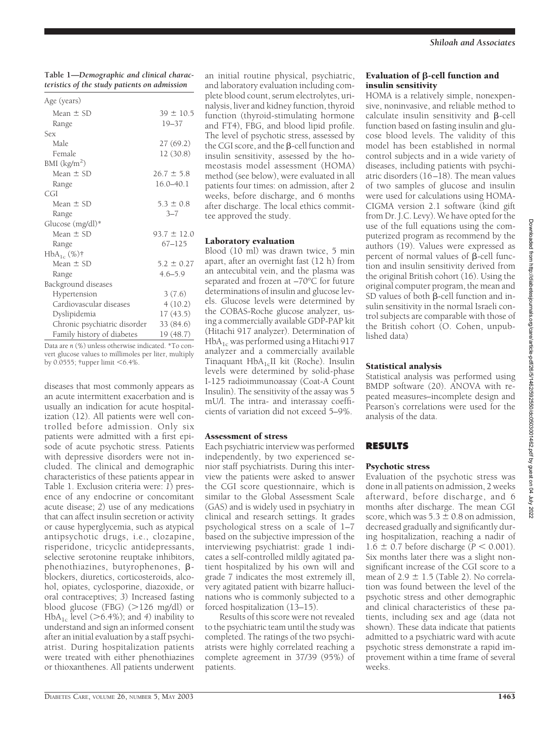| Age (years)                  |                 |
|------------------------------|-----------------|
| Mean $\pm$ SD                | $39 \pm 10.5$   |
| Range                        | $19 - 37$       |
| Sex                          |                 |
| Male.                        | 27(69.2)        |
| Female                       | 12 (30.8)       |
| BMI (kg/m <sup>2</sup> )     |                 |
| Mean $\pm$ SD                | $26.7 \pm 5.8$  |
| Range                        | $16.0 - 40.1$   |
| CGI                          |                 |
| Mean $\pm$ SD                | $5.3 \pm 0.8$   |
| Range                        | $3 - 7$         |
| Glucose (mg/dl)*             |                 |
| Mean $\pm$ SD                | $93.7 \pm 12.0$ |
| Range                        | $67 - 125$      |
| $HbA_{1c} (\%)\dagger$       |                 |
| Mean $\pm$ SD                | $5.2 \pm 0.27$  |
| Range                        | $4.6 - 5.9$     |
| Background diseases          |                 |
| Hypertension                 | 3(7.6)          |
| Cardiovascular diseases      | 4(10.2)         |
| Dyslipidemia                 | 17(43.5)        |
| Chronic psychiatric disorder | 33 (84.6)       |
| Family history of diabetes   | 19 (48.7)       |

Data are *n* (%) unless otherwise indicated. \*To convert glucose values to millimoles per liter, multiply by 0.0555; †upper limit  $<6.4\%$ .

diseases that most commonly appears as an acute intermittent exacerbation and is usually an indication for acute hospitalization (12). All patients were well controlled before admission. Only six patients were admitted with a first episode of acute psychotic stress. Patients with depressive disorders were not included. The clinical and demographic characteristics of these patients appear in Table 1. Exclusion criteria were: *1*) presence of any endocrine or concomitant acute disease; *2*) use of any medications that can affect insulin secretion or activity or cause hyperglycemia, such as atypical antipsychotic drugs, i.e., clozapine, risperidone, tricyclic antidepressants, selective serotonine reuptake inhibitors, phenothiazines, butyrophenones,  $\beta$ blockers, diuretics, corticosteroids, alcohol, opiates, cyclosporine, diazoxide, or oral contraceptives; *3*) Increased fasting blood glucose (FBG)  $(>126 \text{ mg/dl})$  or HbA<sub>1c</sub> level  $(>6.4\%)$ ; and 4) inability to understand and sign an informed consent after an initial evaluation by a staff psychiatrist. During hospitalization patients were treated with either phenothiazines or thioxanthenes. All patients underwent

an initial routine physical, psychiatric, and laboratory evaluation including complete blood count, serum electrolytes, urinalysis, liver and kidney function, thyroid function (thyroid-stimulating hormone and FT4), FBG, and blood lipid profile. The level of psychotic stress, assessed by the CGI score, and the  $\beta$ -cell function and insulin sensitivity, assessed by the homeostasis model assessment (HOMA) method (see below), were evaluated in all patients four times: on admission, after 2 weeks, before discharge, and 6 months after discharge. The local ethics committee approved the study.

## Laboratory evaluation

Blood (10 ml) was drawn twice, 5 min apart, after an overnight fast (12 h) from an antecubital vein, and the plasma was separated and frozen at –70°C for future determinations of insulin and glucose levels. Glucose levels were determined by the COBAS-Roche glucose analyzer, using a commercially available GDP-PAP kit (Hitachi 917 analyzer). Determination of  $HbA<sub>1c</sub>$  was performed using a Hitachi 917 analyzer and a commercially available Tinaquant  $HbA_{1c}$ II kit (Roche). Insulin levels were determined by solid-phase I-125 radioimmunoassay (Coat-A Count Insulin). The sensitivity of the assay was 5 mU/l. The intra- and interassay coefficients of variation did not exceed 5–9%.

# Assessment of stress

Each psychiatric interview was performed independently, by two experienced senior staff psychiatrists. During this interview the patients were asked to answer the CGI score questionnaire, which is similar to the Global Assessment Scale (GAS) and is widely used in psychiatry in clinical and research settings. It grades psychological stress on a scale of 1–7 based on the subjective impression of the interviewing psychiatrist: grade 1 indicates a self-controlled mildly agitated patient hospitalized by his own will and grade 7 indicates the most extremely ill, very agitated patient with bizarre hallucinations who is commonly subjected to a forced hospitalization (13–15).

Results of this score were not revealed to the psychiatric team until the study was completed. The ratings of the two psychiatrists were highly correlated reaching a complete agreement in 37/39 (95%) of patients.

## Evaluation of  $\beta$ -cell function and insulin sensitivity

HOMA is a relatively simple, nonexpensive, noninvasive, and reliable method to  $cal$ alculate insulin sensitivity and  $\beta$ -cell function based on fasting insulin and glucose blood levels. The validity of this model has been established in normal control subjects and in a wide variety of diseases, including patients with psychiatric disorders (16–18). The mean values of two samples of glucose and insulin were used for calculations using HOMA-CIGMA version 2.1 software (kind gift from Dr. J.C. Levy). We have opted for the use of the full equations using the computerized program as recommend by the authors (19). Values were expressed as percent of normal values of  $\beta$ -cell function and insulin sensitivity derived from the original British cohort (16). Using the original computer program, the mean and SD values of both  $\beta$ -cell function and insulin sensitivity in the normal Israeli control subjects are comparable with those of the British cohort (O. Cohen, unpublished data)

# Statistical analysis

Statistical analysis was performed using BMDP software (20). ANOVA with repeated measures–incomplete design and Pearson's correlations were used for the analysis of the data.

# **RESULTS**

# Psychotic stress

Evaluation of the psychotic stress was done in all patients on admission, 2 weeks afterward, before discharge, and 6 months after discharge. The mean CGI score, which was  $5.3 \pm 0.8$  on admission, decreased gradually and significantly during hospitalization, reaching a nadir of  $1.6 \pm 0.7$  before discharge ( $P < 0.001$ ). Six months later there was a slight nonsignificant increase of the CGI score to a mean of  $2.9 \pm 1.5$  (Table 2). No correlation was found between the level of the psychotic stress and other demographic and clinical characteristics of these patients, including sex and age (data not shown). These data indicate that patients admitted to a psychiatric ward with acute psychotic stress demonstrate a rapid improvement within a time frame of several weeks.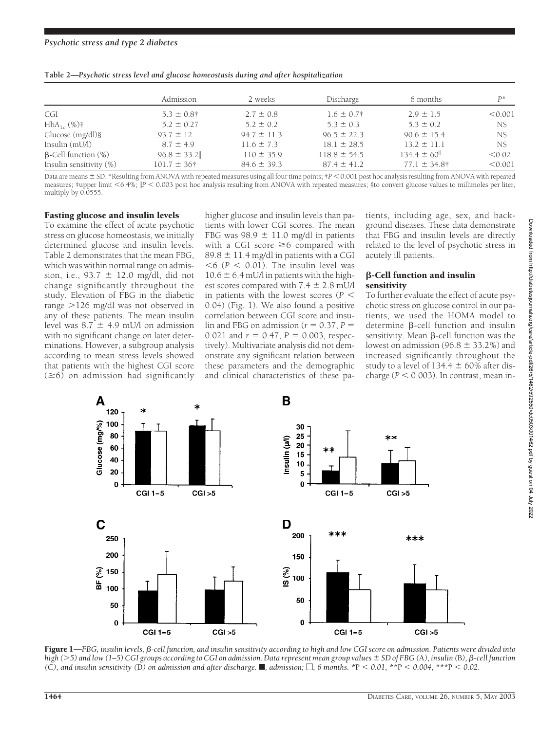|                               | Admission        | 2 weeks         | Discharge        | 6 months               | $P^*$   |
|-------------------------------|------------------|-----------------|------------------|------------------------|---------|
| <b>CGI</b>                    | $5.3 \pm 0.8$ †  | $2.7 \pm 0.8$   | $1.6 \pm 0.7$ †  | $2.9 \pm 1.5$          | < 0.001 |
| $HbA_{1c} (\%)\ddagger$       | $5.2 \pm 0.27$   | $5.2 \pm 0.2$   | $5.3 \pm 0.3$    | $5.3 \pm 0.2$          | NS.     |
| Glucose (mg/dl)§              | $93.7 \pm 12$    | $94.7 \pm 11.3$ | $96.5 \pm 22.3$  | $90.6 \pm 15.4$        | NS.     |
| Insulin $(mU/l)$              | $8.7 \pm 4.9$    | $11.6 \pm 7.3$  | $18.1 \pm 28.5$  | $13.2 \pm 11.1$        | NS      |
| $\beta$ -Cell function $(\%)$ | $96.8 \pm 33.2$  | $110 \pm 35.9$  | $118.8 \pm 54.5$ | $134.4 \pm 60^{\circ}$ | < 0.02  |
| Insulin sensitivity (%)       | $101.7 \pm 36$ † | $84.6 \pm 39.3$ | $87.4 \pm 41.2$  | $77.1 \pm 34.8$ †      | < 0.001 |

**Table 2—***Psychotic stress level and glucose homeostasis during and after hospitalization*

Data are means  $\pm$  SD. \*Resulting from ANOVA with repeated measures using all four time points;  $\dagger P$  < 0.001 post hoc analysis resulting from ANOVA with repeated measures; ‡upper limit <6.4%;  $\vert p$  < 0.003 post hoc analysis resulting from ANOVA with repeated measures; §to convert glucose values to millimoles per liter, multiply by 0.0555.

## Fasting glucose and insulin levels

To examine the effect of acute psychotic stress on glucose homeostasis, we initially determined glucose and insulin levels. Table 2 demonstrates that the mean FBG, which was within normal range on admission, i.e., 93.7  $\pm$  12.0 mg/dl, did not change significantly throughout the study. Elevation of FBG in the diabetic range  $>126$  mg/dl was not observed in any of these patients. The mean insulin level was  $8.7 \pm 4.9$  mU/l on admission with no significant change on later determinations. However, a subgroup analysis according to mean stress levels showed that patients with the highest CGI score  $(\geq 6)$  on admission had significantly higher glucose and insulin levels than patients with lower CGI scores. The mean FBG was  $98.9 \pm 11.0$  mg/dl in patients with a CGI score  $\geq 6$  compared with  $89.8 \pm 11.4$  mg/dl in patients with a CGI  $6$  ( $P < 0.01$ ). The insulin level was  $10.6 \pm 6.4$  mU/l in patients with the highest scores compared with  $7.4 \pm 2.8$  mU/l in patients with the lowest scores (*P* 0.04) (Fig. 1). We also found a positive correlation between CGI score and insulin and FBG on admission ( $r = 0.37$ ,  $P =$ 0.021 and  $r = 0.47$ ,  $P = 0.003$ , respectively). Multivariate analysis did not demonstrate any significant relation between these parameters and the demographic and clinical characteristics of these patients, including age, sex, and background diseases. These data demonstrate that FBG and insulin levels are directly related to the level of psychotic stress in acutely ill patients.

## -Cell function and insulin sensitivity

To further evaluate the effect of acute psychotic stress on glucose control in our patients, we used the HOMA model to determine  $\beta$ -cell function and insulin sensitivity. Mean  $\beta$ -cell function was the lowest on admission  $(96.8 \pm 33.2\%)$  and increased significantly throughout the study to a level of  $134.4 \pm 60\%$  after discharge  $(P < 0.003)$ . In contrast, mean in-



**Figure 1—**FBG, insulin levels, β-cell function, and insulin sensitivity according to high and low CGI score on admission. Patients were divided into *high (5) and low (1–5) CGI groups according to CGI on admission. Data represent mean group values* - *SD of FBG (*A*), insulin (*B*),* -*-cell function*  $(C)$ , and insulin sensitivity (D) on admission and after discharge. **A**, admission;  $\Box$ , 6 months.  $*P < 0.01$ ,  $*P < 0.004$ ,  $*P < 0.02$ .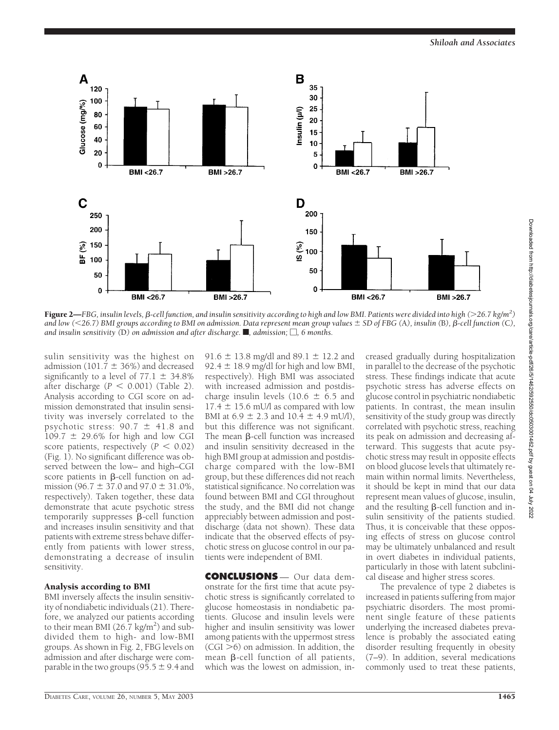

Figure 2—FBG, insulin levels, β-cell function, and insulin sensitivity according to high and low BMI. Patients were divided into high (>26.7 kg/m<sup>2</sup>) *and low (26.7) BMI groups according to BMI on admission. Data represent mean group values* - *SD of FBG (*A*), insulin (*B*),* -*-cell function (*C*),* and insulin sensitivity (D) on admission and after discharge.  $\blacksquare$ , admission;  $\Box$ , 6 months.

sulin sensitivity was the highest on admission  $(101.7 \pm 36%)$  and decreased significantly to a level of  $77.1 \pm 34.8\%$ after discharge  $(P < 0.001)$  (Table 2). Analysis according to CGI score on admission demonstrated that insulin sensitivity was inversely correlated to the psychotic stress:  $90.7 \pm 41.8$  and  $109.7 \pm 29.6\%$  for high and low CGI score patients, respectively  $(P < 0.02)$ (Fig. 1). No significant difference was observed between the low– and high–CGI score patients in  $\beta$ -cell function on admission (96.7  $\pm$  37.0 and 97.0  $\pm$  31.0%, respectively). Taken together, these data demonstrate that acute psychotic stress temporarily suppresses  $\beta$ -cell function and increases insulin sensitivity and that patients with extreme stress behave differently from patients with lower stress, demonstrating a decrease of insulin sensitivity.

### Analysis according to BMI

BMI inversely affects the insulin sensitivity of nondiabetic individuals (21). Therefore, we analyzed our patients according to their mean BMI ( $26.7 \text{ kg/m}^2$ ) and subdivided them to high- and low-BMI groups. As shown in Fig. 2, FBG levels on admission and after discharge were comparable in the two groups (95.5  $\pm$  9.4 and

 $91.6 \pm 13.8$  mg/dl and  $89.1 \pm 12.2$  and  $92.4 \pm 18.9$  mg/dl for high and low BMI, respectively). High BMI was associated with increased admission and postdischarge insulin levels  $(10.6 \pm 6.5 \text{ and}$  $17.4 \pm 15.6$  mU/l as compared with low BMI at  $6.9 \pm 2.3$  and  $10.4 \pm 4.9$  mU/l), but this difference was not significant. The mean  $\beta$ -cell function was increased and insulin sensitivity decreased in the high BMI group at admission and postdischarge compared with the low-BMI group, but these differences did not reach statistical significance. No correlation was found between BMI and CGI throughout the study, and the BMI did not change appreciably between admission and postdischarge (data not shown). These data indicate that the observed effects of psychotic stress on glucose control in our patients were independent of BMI.

**CONCLUSIONS** — Our data demonstrate for the first time that acute psychotic stress is significantly correlated to glucose homeostasis in nondiabetic patients. Glucose and insulin levels were higher and insulin sensitivity was lower among patients with the uppermost stress  $(CGI > 6)$  on admission. In addition, the mean  $\beta$ -cell function of all patients, which was the lowest on admission, increased gradually during hospitalization in parallel to the decrease of the psychotic stress. These findings indicate that acute psychotic stress has adverse effects on glucose control in psychiatric nondiabetic patients. In contrast, the mean insulin sensitivity of the study group was directly correlated with psychotic stress, reaching its peak on admission and decreasing afterward. This suggests that acute psychotic stress may result in opposite effects on blood glucose levels that ultimately remain within normal limits. Nevertheless, it should be kept in mind that our data represent mean values of glucose, insulin, and the resulting  $\beta$ -cell function and insulin sensitivity of the patients studied. Thus, it is conceivable that these opposing effects of stress on glucose control may be ultimately unbalanced and result in overt diabetes in individual patients, particularly in those with latent subclinical disease and higher stress scores.

The prevalence of type 2 diabetes is increased in patients suffering from major psychiatric disorders. The most prominent single feature of these patients underlying the increased diabetes prevalence is probably the associated eating disorder resulting frequently in obesity (7–9). In addition, several medications commonly used to treat these patients,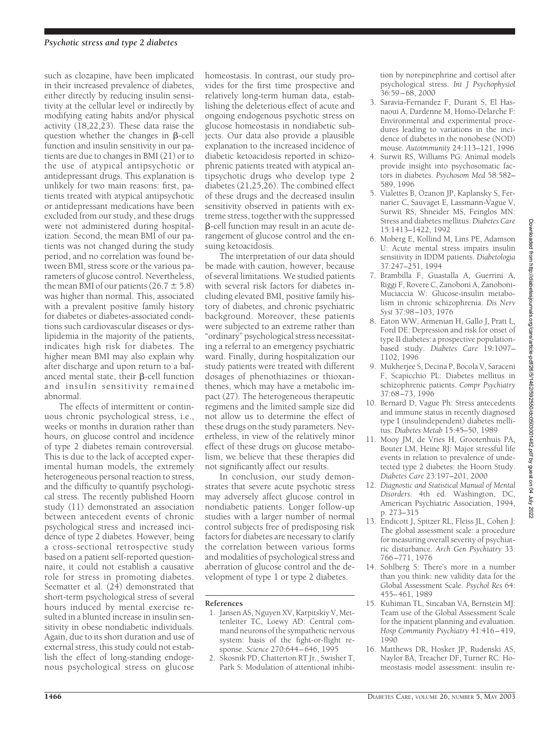such as clozapine, have been implicated in their increased prevalence of diabetes, either directly by reducing insulin sensitivity at the cellular level or indirectly by modifying eating habits and/or physical activity (18,22,23). These data raise the question whether the changes in  $\beta$ -cell function and insulin sensitivity in our patients are due to changes in BMI (21) or to the use of atypical antipsychotic or antidepressant drugs. This explanation is unlikely for two main reasons: first, patients treated with atypical antipsychotic or antidepressant medications have been excluded from our study, and these drugs were not administered during hospitalization. Second, the mean BMI of our patients was not changed during the study period, and no correlation was found between BMI, stress score or the various parameters of glucose control. Nevertheless, the mean BMI of our patients  $(26.7 \pm 5.8)$ was higher than normal. This, associated with a prevalent positive family history for diabetes or diabetes-associated conditions such cardiovascular diseases or dyslipidemia in the majority of the patients, indicates high risk for diabetes. The higher mean BMI may also explain why after discharge and upon return to a balanced mental state, their  $\beta$ -cell function and insulin sensitivity remained abnormal.

The effects of intermittent or continuous chronic psychological stress, i.e., weeks or months in duration rather than hours, on glucose control and incidence of type 2 diabetes remain controversial. This is due to the lack of accepted experimental human models, the extremely heterogeneous personal reaction to stress, and the difficulty to quantify psychological stress. The recently published Hoorn study (11) demonstrated an association between antecedent events of chronic psychological stress and increased incidence of type 2 diabetes. However, being a cross-sectional retrospective study based on a patient self-reported questionnaire, it could not establish a causative role for stress in promoting diabetes. Seematter et al. (24) demonstrated that short-term psychological stress of several hours induced by mental exercise resulted in a blunted increase in insulin sensitivity in obese nondiabetic individuals. Again, due to its short duration and use of external stress, this study could not establish the effect of long-standing endogenous psychological stress on glucose

homeostasis. In contrast, our study provides for the first time prospective and relatively long-term human data, establishing the deleterious effect of acute and ongoing endogenous psychotic stress on glucose homeostasis in nondiabetic subjects. Our data also provide a plausible explanation to the increased incidence of diabetic ketoacidosis reported in schizophrenic patients treated with atypical antipsychotic drugs who develop type 2 diabetes (21,25,26). The combined effect of these drugs and the decreased insulin sensitivity observed in patients with extreme stress, together with the suppressed -cell function may result in an acute derangement of glucose control and the ensuing ketoacidosis.

The interpretation of our data should be made with caution, however, because of several limitations. We studied patients with several risk factors for diabetes including elevated BMI, positive family history of diabetes, and chronic psychiatric background. Moreover, these patients were subjected to an extreme rather than "ordinary" psychological stress necessitating a referral to an emergency psychiatric ward. Finally, during hospitalization our study patients were treated with different dosages of phenothiazines or thioxanthenes, which may have a metabolic impact (27). The heterogeneous therapeutic regimens and the limited sample size did not allow us to determine the effect of these drugs on the study parameters. Nevertheless, in view of the relatively minor effect of these drugs on glucose metabolism, we believe that these therapies did not significantly affect our results.

In conclusion, our study demonstrates that severe acute psychotic stress may adversely affect glucose control in nondiabetic patients. Longer follow-up studies with a larger number of normal control subjects free of predisposing risk factors for diabetes are necessary to clarify the correlation between various forms and modalities of psychological stress and aberration of glucose control and the development of type 1 or type 2 diabetes.

### **References**

- 1. Jansen AS, Nguyen XV, Karpitskiy V, Mettenleiter TC, Loewy AD: Central command neurons of the sympathetic nervous system: basis of the fight-or-flight response. *Science* 270:644–646, 1995
- 2. Skosnik PD, Chatterton RT Jr., Swisher T, Park S: Modulation of attentional inhibi-

tion by norepinephrine and cortisol after psychological stress. *Int J Psychophysiol* 36:59–68, 2000

- 3. Saravia-Fernandez F, Durant S, El Hasnaoui A, Dardenne M, Homo-Delarche F: Environmental and experimental procedures leading to variations in the incidence of diabetes in the nonobese (NOD) mouse. *Autoimmunity* 24:113–121, 1996
- 4. Surwit RS, Williams PG: Animal models provide insight into psychosomatic factors in diabetes. *Psychosom Med* 58:582– 589, 1996
- 5. Vialettes B, Ozanon JP, Kaplansky S, Fernarier C, Sauvaget E, Lassmann-Vague V, Surwit RS, Shneider MS, Feinglos MN: Stress and diabetes mellitus. *Diabetes Care* 15:1413–1422, 1992
- 6. Moberg E, Kollind M, Lins PE, Adamson U: Acute mental stress impairs insulin sensitivity in IDDM patients. *Diabetologia* 37:247–251, 1994
- 7. Brambilla F, Guastalla A, Guerrini A, Riggi F, Rovere C, Zanoboni A, Zanoboni-Muciaccia W: Glucose-insulin metabolism in chronic schizophrenia. *Dis Nerv Syst* 37:98–103, 1976
- 8. Eaton WW, Armenian H, Gallo J, Pratt L, Ford DE: Depression and risk for onset of type II diabetes: a prospective populationbased study. *Diabetes Care* 19:1097– 1102, 1996
- 9. Mukherjee S, Decina P, Bocola V, Saraceni F, Scapicchio PL: Diabetes mellitus in schizophrenic patients. *Compr Psychiatry* 37:68–73, 1996
- 10. Bernard D, Vague Ph: Stress antecedents and immune status in recently diagnosed type I (insulindependent) diabetes mellitus. *Diabetes Metab* 15:45–50, 1989
- 11. Mooy JM, de Vries H, Grootenhuis PA, Bouter LM, Heine RJ: Major stressful life events in relation to prevalence of undetected type 2 diabetes: the Hoorn Study. *Diabetes Care* 23:197–201, 2000
- 12. *Diagnostic and Statistical Manual of Mental Disorders*. 4th ed. Washington, DC, American Psychiatric Association, 1994, p. 273–315
- 13. Endicott J, Spitzer RL, Fleiss JL, Cohen J: The global assessment scale: a procedure for measuring overall severity of psychiatric disturbance. *Arch Gen Psychiatry* 33: 766–771, 1976
- 14. Sohlberg S: There's more in a number than you think: new validity data for the Global Assessment Scale. *Psychol Res* 64: 455–461, 1989
- 15. Kuhiman TL, Sincaban VA, Bernstein MJ: Team use of the Global Assessment Scale for the inpatient planning and evaluation. *Hosp Community Psychiatry* 41:416–419, 1990
- 16. Matthews DR, Hosker JP, Rudenski AS, Naylor BA, Treacher DF, Turner RC: Homeostasis model assessment: insulin re-